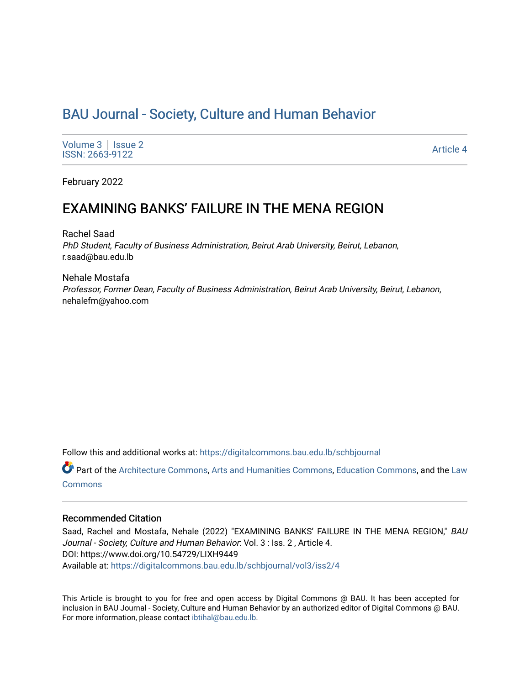# [BAU Journal - Society, Culture and Human Behavior](https://digitalcommons.bau.edu.lb/schbjournal)

[Volume 3](https://digitalcommons.bau.edu.lb/schbjournal/vol3) | Issue 2 Produce 3 | ISSUE 2<br>ISSN: 2663-9122 Article 4

February 2022

## EXAMINING BANKS' FAILURE IN THE MENA REGION

Rachel Saad PhD Student, Faculty of Business Administration, Beirut Arab University, Beirut, Lebanon, r.saad@bau.edu.lb

Nehale Mostafa Professor, Former Dean, Faculty of Business Administration, Beirut Arab University, Beirut, Lebanon, nehalefm@yahoo.com

Follow this and additional works at: [https://digitalcommons.bau.edu.lb/schbjournal](https://digitalcommons.bau.edu.lb/schbjournal?utm_source=digitalcommons.bau.edu.lb%2Fschbjournal%2Fvol3%2Fiss2%2F4&utm_medium=PDF&utm_campaign=PDFCoverPages)

Part of the [Architecture Commons](http://network.bepress.com/hgg/discipline/773?utm_source=digitalcommons.bau.edu.lb%2Fschbjournal%2Fvol3%2Fiss2%2F4&utm_medium=PDF&utm_campaign=PDFCoverPages), [Arts and Humanities Commons](http://network.bepress.com/hgg/discipline/438?utm_source=digitalcommons.bau.edu.lb%2Fschbjournal%2Fvol3%2Fiss2%2F4&utm_medium=PDF&utm_campaign=PDFCoverPages), [Education Commons,](http://network.bepress.com/hgg/discipline/784?utm_source=digitalcommons.bau.edu.lb%2Fschbjournal%2Fvol3%2Fiss2%2F4&utm_medium=PDF&utm_campaign=PDFCoverPages) and the [Law](http://network.bepress.com/hgg/discipline/578?utm_source=digitalcommons.bau.edu.lb%2Fschbjournal%2Fvol3%2Fiss2%2F4&utm_medium=PDF&utm_campaign=PDFCoverPages)  **[Commons](http://network.bepress.com/hgg/discipline/578?utm_source=digitalcommons.bau.edu.lb%2Fschbjournal%2Fvol3%2Fiss2%2F4&utm_medium=PDF&utm_campaign=PDFCoverPages)** 

### Recommended Citation

Saad, Rachel and Mostafa, Nehale (2022) "EXAMINING BANKS' FAILURE IN THE MENA REGION," BAU Journal - Society, Culture and Human Behavior: Vol. 3 : Iss. 2 , Article 4. DOI: https://www.doi.org/10.54729/LIXH9449 Available at: [https://digitalcommons.bau.edu.lb/schbjournal/vol3/iss2/4](https://digitalcommons.bau.edu.lb/schbjournal/vol3/iss2/4?utm_source=digitalcommons.bau.edu.lb%2Fschbjournal%2Fvol3%2Fiss2%2F4&utm_medium=PDF&utm_campaign=PDFCoverPages)

This Article is brought to you for free and open access by Digital Commons @ BAU. It has been accepted for inclusion in BAU Journal - Society, Culture and Human Behavior by an authorized editor of Digital Commons @ BAU. For more information, please contact [ibtihal@bau.edu.lb.](mailto:ibtihal@bau.edu.lb)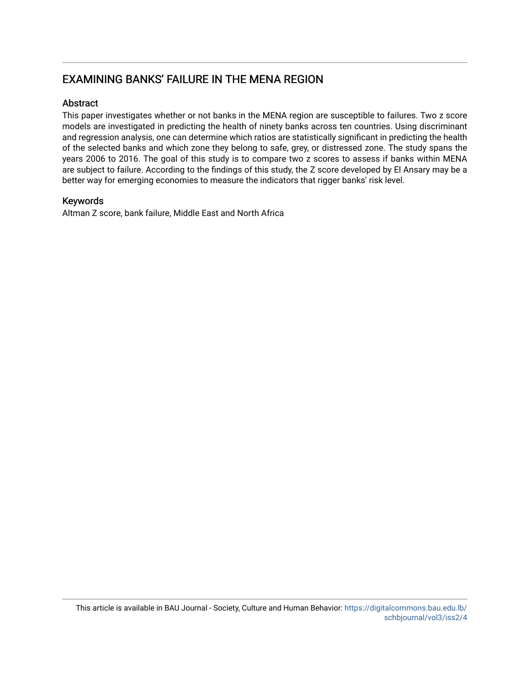## EXAMINING BANKS' FAILURE IN THE MENA REGION

## **Abstract**

This paper investigates whether or not banks in the MENA region are susceptible to failures. Two z score models are investigated in predicting the health of ninety banks across ten countries. Using discriminant and regression analysis, one can determine which ratios are statistically significant in predicting the health of the selected banks and which zone they belong to safe, grey, or distressed zone. The study spans the years 2006 to 2016. The goal of this study is to compare two z scores to assess if banks within MENA are subject to failure. According to the findings of this study, the Z score developed by El Ansary may be a better way for emerging economies to measure the indicators that rigger banks' risk level.

## Keywords

Altman Z score, bank failure, Middle East and North Africa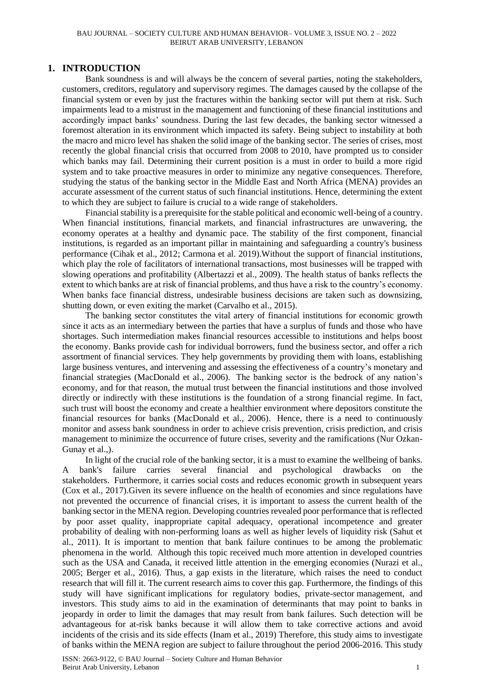#### BAU JOURNAL – SOCIETY CULTURE AND HUMAN BEHAVIOR– VOLUME 3, ISSUE NO. 2 – 2022 BEIRUT ARAB UNIVERSITY, LEBANON

## **1. INTRODUCTION**

Bank soundness is and will always be the concern of several parties, noting the stakeholders, customers, creditors, regulatory and supervisory regimes. The damages caused by the collapse of the financial system or even by just the fractures within the banking sector will put them at risk. Such impairments lead to a mistrust in the management and functioning of these financial institutions and accordingly impact banks' soundness. During the last few decades, the banking sector witnessed a foremost alteration in its environment which impacted its safety. Being subject to instability at both the macro and micro level has shaken the solid image of the banking sector. The series of crises, most recently the global financial crisis that occurred from 2008 to 2010, have prompted us to consider which banks may fail. Determining their current position is a must in order to build a more rigid system and to take proactive measures in order to minimize any negative consequences. Therefore, studying the status of the banking sector in the Middle East and North Africa (MENA) provides an accurate assessment of the current status of such financial institutions. Hence, determining the extent to which they are subject to failure is crucial to a wide range of stakeholders.

Financial stability is a prerequisite for the stable political and economic well-being of a country. When financial institutions, financial markets, and financial infrastructures are unwavering, the economy operates at a healthy and dynamic pace. The stability of the first component, financial institutions, is regarded as an important pillar in maintaining and safeguarding a country's business performance (Cihak et al., 2012; Carmona et al. 2019).Without the support of financial institutions, which play the role of facilitators of international transactions, most businesses will be trapped with slowing operations and profitability (Albertazzi et al., 2009). The health status of banks reflects the extent to which banks are at risk of financial problems, and thus have a risk to the country's economy. When banks face financial distress, undesirable business decisions are taken such as downsizing, shutting down, or even exiting the market (Carvalho et al., 2015).

The banking sector constitutes the vital artery of financial institutions for economic growth since it acts as an intermediary between the parties that have a surplus of funds and those who have shortages. Such intermediation makes financial resources accessible to institutions and helps boost the economy. Banks provide cash for individual borrowers, fund the business sector, and offer a rich assortment of financial services. They help governments by providing them with loans, establishing large business ventures, and intervening and assessing the effectiveness of a country's monetary and financial strategies (MacDonald et al., 2006). The banking sector is the bedrock of any nation's economy, and for that reason, the mutual trust between the financial institutions and those involved directly or indirectly with these institutions is the foundation of a strong financial regime. In fact, such trust will boost the economy and create a healthier environment where depositors constitute the financial resources for banks (MacDonald et al., 2006). Hence, there is a need to continuously monitor and assess bank soundness in order to achieve crisis prevention, crisis prediction, and crisis management to minimize the occurrence of future crises, severity and the ramifications (Nur Ozkan-Gunay et al.,).

In light of the crucial role of the banking sector, it is a must to examine the wellbeing of banks. A bank's failure carries several financial and psychological drawbacks on the stakeholders. Furthermore, it carries social costs and reduces economic growth in subsequent years (Cox et al., 2017).Given its severe influence on the health of economies and since regulations have not prevented the occurrence of financial crises, it is important to assess the current health of the banking sector in the MENA region. Developing countries revealed poor performance that is reflected by poor asset quality, inappropriate capital adequacy, operational incompetence and greater probability of dealing with non-performing loans as well as higher levels of liquidity risk (Sahut et al., 2011). It is important to mention that bank failure continues to be among the problematic phenomena in the world. Although this topic received much more attention in developed countries such as the USA and Canada, it received little attention in the emerging economies (Nurazi et al., 2005; Berger et al., 2016). Thus, a gap exists in the literature, which raises the need to conduct research that will fill it. The current research aims to cover this gap. Furthermore, the findings of this study will have significant implications for regulatory bodies, private-sector management, and investors. This study aims to aid in the examination of determinants that may point to banks in jeopardy in order to limit the damages that may result from bank failures. Such detection will be advantageous for at-risk banks because it will allow them to take corrective actions and avoid incidents of the crisis and its side effects (Inam et al., 2019) Therefore, this study aims to investigate of banks within the MENA region are subject to failure throughout the period 2006-2016. This study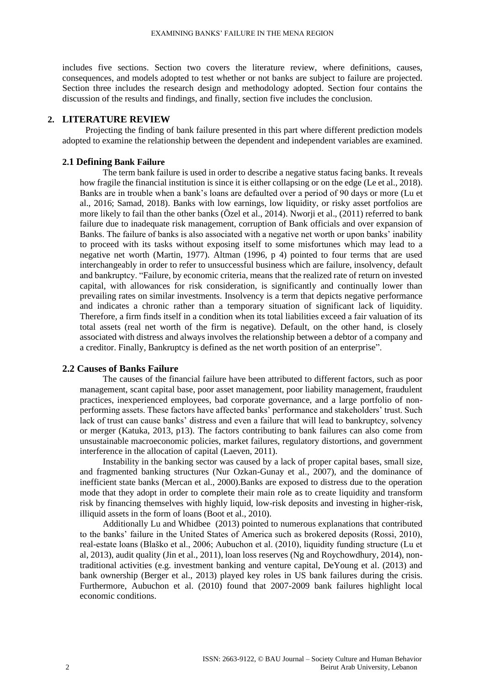includes five sections. Section two covers the literature review, where definitions, causes, consequences, and models adopted to test whether or not banks are subject to failure are projected. Section three includes the research design and methodology adopted. Section four contains the discussion of the results and findings, and finally, section five includes the conclusion.

#### **2. LITERATURE REVIEW**

Projecting the finding of bank failure presented in this part where different prediction models adopted to examine the relationship between the dependent and independent variables are examined.

### **2.1 Defining Bank Failure**

The term bank failure is used in order to describe a negative status facing banks. It reveals how fragile the financial institution is since it is either collapsing or on the edge (Le et al., 2018). Banks are in trouble when a bank's loans are defaulted over a period of 90 days or more (Lu et al., 2016; Samad, 2018). Banks with low earnings, low liquidity, or risky asset portfolios are more likely to fail than the other banks (Özel et al., 2014). Nworji et al., (2011) referred to bank failure due to inadequate risk management, corruption of Bank officials and over expansion of Banks. The failure of banks is also associated with a negative net worth or upon banks' inability to proceed with its tasks without exposing itself to some misfortunes which may lead to a negative net worth (Martin, 1977). Altman (1996, p 4) pointed to four terms that are used interchangeably in order to refer to unsuccessful business which are failure, insolvency, default and bankruptcy. "Failure, by economic criteria, means that the realized rate of return on invested capital, with allowances for risk consideration, is significantly and continually lower than prevailing rates on similar investments. Insolvency is a term that depicts negative performance and indicates a chronic rather than a temporary situation of significant lack of liquidity. Therefore, a firm finds itself in a condition when its total liabilities exceed a fair valuation of its total assets (real net worth of the firm is negative). Default, on the other hand, is closely associated with distress and always involves the relationship between a debtor of a company and a creditor. Finally, Bankruptcy is defined as the net worth position of an enterprise".

## **2.2 Causes of Banks Failure**

The causes of the financial failure have been attributed to different factors, such as poor management, scant capital base, poor asset management, poor liability management, fraudulent practices, inexperienced employees, bad corporate governance, and a large portfolio of nonperforming assets. These factors have affected banks' performance and stakeholders' trust. Such lack of trust can cause banks' distress and even a failure that will lead to bankruptcy, solvency or merger (Katuka, 2013, p13). The factors contributing to bank failures can also come from unsustainable macroeconomic policies, market failures, regulatory distortions, and government interference in the allocation of capital (Laeven, 2011).

Instability in the banking sector was caused by a lack of proper capital bases, small size, and fragmented banking structures (Nur Ozkan-Gunay et al., 2007), and the dominance of inefficient state banks (Mercan et al., 2000).Banks are exposed to distress due to the operation mode that they adopt in order to complete their main role as to create liquidity and transform risk by financing themselves with highly liquid, low-risk deposits and investing in higher-risk, illiquid assets in the form of loans (Boot et al., 2010).

Additionally Lu and Whidbee (2013) pointed to numerous explanations that contributed to the banks' failure in the United States of America such as brokered deposits (Rossi, 2010), real-estate loans (Blaško et al., 2006; Aubuchon et al. (2010), liquidity funding structure (Lu et al, 2013), audit quality (Jin et al., 2011), loan loss reserves (Ng and Roychowdhury, 2014), nontraditional activities (e.g. investment banking and venture capital, DeYoung et al. (2013) and bank ownership (Berger et al., 2013) played key roles in US bank failures during the crisis. Furthermore, Aubuchon et al. (2010) found that 2007-2009 bank failures highlight local economic conditions.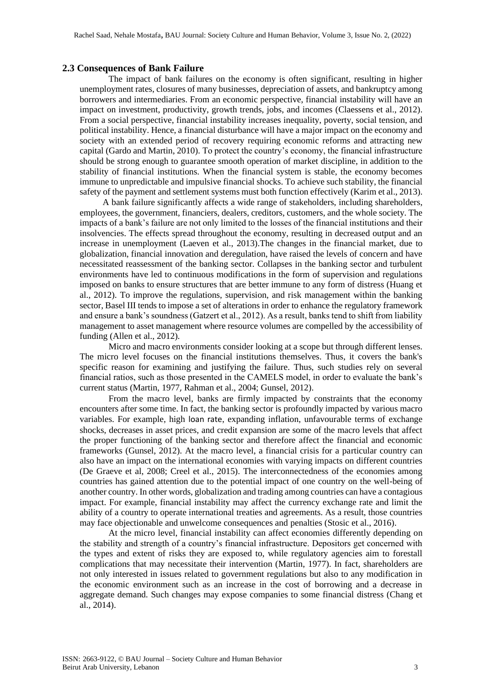#### **2.3 Consequences of Bank Failure**

The impact of bank failures on the economy is often significant, resulting in higher unemployment rates, closures of many businesses, depreciation of assets, and bankruptcy among borrowers and intermediaries. From an economic perspective, financial instability will have an impact on investment, productivity, growth trends, jobs, and incomes (Claessens et al., 2012). From a social perspective, financial instability increases inequality, poverty, social tension, and political instability. Hence, a financial disturbance will have a major impact on the economy and society with an extended period of recovery requiring economic reforms and attracting new capital (Gardo and Martin, 2010). To protect the country's economy, the financial infrastructure should be strong enough to guarantee smooth operation of market discipline, in addition to the stability of financial institutions. When the financial system is stable, the economy becomes immune to unpredictable and impulsive financial shocks. To achieve such stability, the financial safety of the payment and settlement systems must both function effectively (Karim et al., 2013).

A bank failure significantly affects a wide range of stakeholders, including shareholders, employees, the government, financiers, dealers, creditors, customers, and the whole society. The impacts of a bank's failure are not only limited to the losses of the financial institutions and their insolvencies. The effects spread throughout the economy, resulting in decreased output and an increase in unemployment (Laeven et al., 2013).The changes in the financial market, due to globalization, financial innovation and deregulation, have raised the levels of concern and have necessitated reassessment of the banking sector. Collapses in the banking sector and turbulent environments have led to continuous modifications in the form of supervision and regulations imposed on banks to ensure structures that are better immune to any form of distress (Huang et al., 2012). To improve the regulations, supervision, and risk management within the banking sector, Basel III tends to impose a set of alterations in order to enhance the regulatory framework and ensure a bank's soundness (Gatzert et al., 2012). As a result, banks tend to shift from liability management to asset management where resource volumes are compelled by the accessibility of funding (Allen et al., 2012).

Micro and macro environments consider looking at a scope but through different lenses. The micro level focuses on the financial institutions themselves. Thus, it covers the bank's specific reason for examining and justifying the failure. Thus, such studies rely on several financial ratios, such as those presented in the CAMELS model, in order to evaluate the bank's current status (Martin, 1977, Rahman et al., 2004; Gunsel, 2012).

From the macro level, banks are firmly impacted by constraints that the economy encounters after some time. In fact, the banking sector is profoundly impacted by various macro variables. For example, high loan rate, expanding inflation, unfavourable terms of exchange shocks, decreases in asset prices, and credit expansion are some of the macro levels that affect the proper functioning of the banking sector and therefore affect the financial and economic frameworks (Gunsel, 2012). At the macro level, a financial crisis for a particular country can also have an impact on the international economies with varying impacts on different countries (De Graeve et al, 2008; Creel et al., 2015). The interconnectedness of the economies among countries has gained attention due to the potential impact of one country on the well-being of another country. In other words, globalization and trading among countries can have a contagious impact. For example, financial instability may affect the currency exchange rate and limit the ability of a country to operate international treaties and agreements. As a result, those countries may face objectionable and unwelcome consequences and penalties (Stosic et al., 2016).

At the micro level, financial instability can affect economies differently depending on the stability and strength of a country's financial infrastructure. Depositors get concerned with the types and extent of risks they are exposed to, while regulatory agencies aim to forestall complications that may necessitate their intervention (Martin, 1977). In fact, shareholders are not only interested in issues related to government regulations but also to any modification in the economic environment such as an increase in the cost of borrowing and a decrease in aggregate demand. Such changes may expose companies to some financial distress (Chang et al., 2014).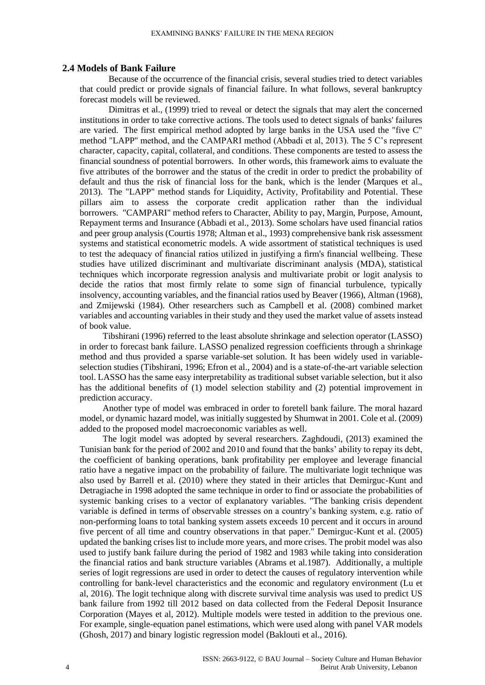#### **2.4 Models of Bank Failure**

Because of the occurrence of the financial crisis, several studies tried to detect variables that could predict or provide signals of financial failure. In what follows, several bankruptcy forecast models will be reviewed.

Dimitras et al., (1999) tried to reveal or detect the signals that may alert the concerned institutions in order to take corrective actions. The tools used to detect signals of banks' failures are varied. The first empirical method adopted by large banks in the USA used the "five C" method "LAPP'' method, and the CAMPARI method (Abbadi et al, 2013). The 5 C's represent character, capacity, capital, collateral, and conditions. These components are tested to assess the financial soundness of potential borrowers. In other words, this framework aims to evaluate the five attributes of the borrower and the status of the credit in order to predict the probability of default and thus the risk of financial loss for the bank, which is the lender (Marques et al., 2013). The "LAPP" method stands for Liquidity, Activity, Profitability and Potential. These pillars aim to assess the corporate credit application rather than the individual borrowers. "CAMPARI" method refers to Character, Ability to pay, Margin, Purpose, Amount, Repayment terms and Insurance (Abbadi et al., 2013). Some scholars have used financial ratios and peer group analysis (Courtis 1978; Altman et al., 1993) comprehensive bank risk assessment systems and statistical econometric models. A wide assortment of statistical techniques is used to test the adequacy of financial ratios utilized in justifying a firm's financial wellbeing. These studies have utilized discriminant and multivariate discriminant analysis (MDA), statistical techniques which incorporate regression analysis and multivariate probit or logit analysis to decide the ratios that most firmly relate to some sign of financial turbulence, typically insolvency, accounting variables, and the financial ratios used by Beaver (1966), Altman (1968), and Zmijewski (1984). Other researchers such as Campbell et al. (2008) combined market variables and accounting variables in their study and they used the market value of assets instead of book value.

Tibshirani (1996) referred to the least absolute shrinkage and selection operator (LASSO) in order to forecast bank failure. LASSO penalized regression coefficients through a shrinkage method and thus provided a sparse variable-set solution. It has been widely used in variableselection studies (Tibshirani, 1996; Efron et al., 2004) and is a state-of-the-art variable selection tool. LASSO has the same easy interpretability as traditional subset variable selection, but it also has the additional benefits of (1) model selection stability and (2) potential improvement in prediction accuracy.

Another type of model was embraced in order to foretell bank failure. The moral hazard model, or dynamic hazard model, was initially suggested by Shumwat in 2001. Cole et al. (2009) added to the proposed model macroeconomic variables as well.

The logit model was adopted by several researchers. Zaghdoudi, (2013) examined the Tunisian bank for the period of 2002 and 2010 and found that the banks' ability to repay its debt, the coefficient of banking operations, bank profitability per employee and leverage financial ratio have a negative impact on the probability of failure. The multivariate logit technique was also used by Barrell et al. (2010) where they stated in their articles that Demirguc-Kunt and Detragiache in 1998 adopted the same technique in order to find or associate the probabilities of systemic banking crises to a vector of explanatory variables. "The banking crisis dependent variable is defined in terms of observable stresses on a country's banking system, e.g. ratio of non-performing loans to total banking system assets exceeds 10 percent and it occurs in around five percent of all time and country observations in that paper." Demirguc-Kunt et al. (2005) updated the banking crises list to include more years, and more crises. The probit model was also used to justify bank failure during the period of 1982 and 1983 while taking into consideration the financial ratios and bank structure variables (Abrams et al.1987). Additionally, a multiple series of logit regressions are used in order to detect the causes of regulatory intervention while controlling for bank-level characteristics and the economic and regulatory environment (Lu et al, 2016). The logit technique along with discrete survival time analysis was used to predict US bank failure from 1992 till 2012 based on data collected from the Federal Deposit Insurance Corporation (Mayes et al, 2012). Multiple models were tested in addition to the previous one. For example, single-equation panel estimations, which were used along with panel VAR models (Ghosh, 2017) and binary logistic regression model (Baklouti et al., 2016).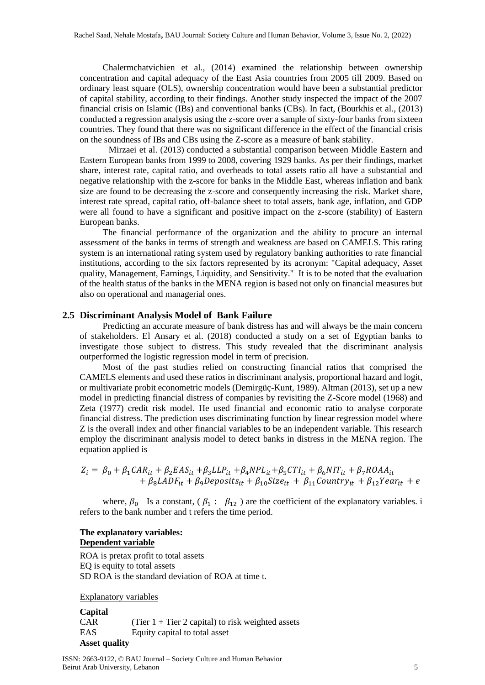Chalermchatvichien et al., (2014) examined the relationship between ownership concentration and capital adequacy of the East Asia countries from 2005 till 2009. Based on ordinary least square (OLS), ownership concentration would have been a substantial predictor of capital stability, according to their findings. Another study inspected the impact of the 2007 financial crisis on Islamic (IBs) and conventional banks (CBs). In fact, (Bourkhis et al., (2013) conducted a regression analysis using the z-score over a sample of sixty-four banks from sixteen countries. They found that there was no significant difference in the effect of the financial crisis on the soundness of IBs and CBs using the Z-score as a measure of bank stability.

Mirzaei et al. (2013) conducted a substantial comparison between Middle Eastern and Eastern European banks from 1999 to 2008, covering 1929 banks. As per their findings, market share, interest rate, capital ratio, and overheads to total assets ratio all have a substantial and negative relationship with the z-score for banks in the Middle East, whereas inflation and bank size are found to be decreasing the z-score and consequently increasing the risk. Market share, interest rate spread, capital ratio, off-balance sheet to total assets, bank age, inflation, and GDP were all found to have a significant and positive impact on the z-score (stability) of Eastern European banks.

The financial performance of the organization and the ability to procure an internal assessment of the banks in terms of strength and weakness are based on CAMELS. This rating system is an international rating system used by regulatory banking authorities to rate financial institutions, according to the six factors represented by its acronym: "Capital adequacy, Asset quality, Management, Earnings, Liquidity, and Sensitivity." It is to be noted that the evaluation of the health status of the banks in the MENA region is based not only on financial measures but also on operational and managerial ones.

### **2.5 Discriminant Analysis Model of Bank Failure**

Predicting an accurate measure of bank distress has and will always be the main concern of stakeholders. El Ansary et al. (2018) conducted a study on a set of Egyptian banks to investigate those subject to distress. This study revealed that the discriminant analysis outperformed the logistic regression model in term of precision.

Most of the past studies relied on constructing financial ratios that comprised the CAMELS elements and used these ratios in discriminant analysis, proportional hazard and logit, or multivariate probit econometric models (Demirgüç-Kunt, 1989). Altman (2013), set up a new model in predicting financial distress of companies by revisiting the Z-Score model (1968) and Zeta (1977) credit risk model. He used financial and economic ratio to analyse corporate financial distress. The prediction uses discriminating function by linear regression model where Z is the overall index and other financial variables to be an independent variable. This research employ the discriminant analysis model to detect banks in distress in the MENA region. The equation applied is

$$
Z_i = \beta_0 + \beta_1 CAR_{it} + \beta_2 EAS_{it} + \beta_3 LLP_{it} + \beta_4 NPL_{it} + \beta_5 CTI_{it} + \beta_6 NIT_{it} + \beta_7 ROAA_{it}
$$
  
+  $\beta_8 LADF_{it} + \beta_9 Deposits_{it} + \beta_{10} Size_{it} + \beta_{11} Country_{it} + \beta_{12} Year_{it} + e$ 

where,  $\beta_0$  Is a constant, ( $\beta_1$ :  $\beta_{12}$ ) are the coefficient of the explanatory variables. i refers to the bank number and t refers the time period.

## **The explanatory variables: Dependent variable**

ROA is pretax profit to total assets EQ is equity to total assets SD ROA is the standard deviation of ROA at time t.

Explanatory variables

**Capital** CAR (Tier  $1 +$  Tier 2 capital) to risk weighted assets EAS Equity capital to total asset **Asset quality**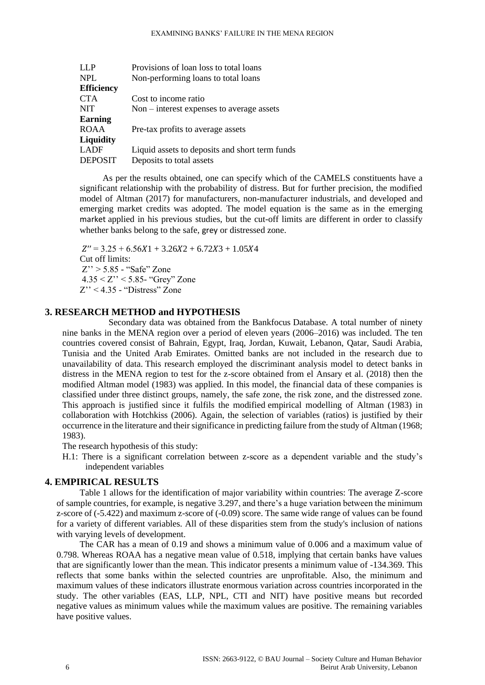| Provisions of loan loss to total loans         |
|------------------------------------------------|
| Non-performing loans to total loans            |
|                                                |
| Cost to income ratio                           |
| $Non-interest$ expenses to average assets      |
|                                                |
| Pre-tax profits to average assets              |
|                                                |
| Liquid assets to deposits and short term funds |
| Deposits to total assets                       |
|                                                |

As per the results obtained, one can specify which of the CAMELS constituents have a significant relationship with the probability of distress. But for further precision, the modified model of Altman (2017) for manufacturers, non-manufacturer industrials, and developed and emerging market credits was adopted. The model equation is the same as in the emerging market applied in his previous studies, but the cut-off limits are different in order to classify whether banks belong to the safe, grey or distressed zone.

 $Z'' = 3.25 + 6.56X1 + 3.26X2 + 6.72X3 + 1.05X4$ Cut off limits: Z'' > 5.85 - "Safe" Zone 4.35 < Z'' < 5.85- "Grey" Zone  $Z''$  < 4.35 - "Distress" Zone

## **3. RESEARCH METHOD and HYPOTHESIS**

Secondary data was obtained from the Bankfocus Database. A total number of ninety nine banks in the MENA region over a period of eleven years (2006–2016) was included. The ten countries covered consist of Bahrain, Egypt, Iraq, Jordan, Kuwait, Lebanon, Qatar, Saudi Arabia, Tunisia and the United Arab Emirates. Omitted banks are not included in the research due to unavailability of data. This research employed the discriminant analysis model to detect banks in distress in the MENA region to test for the z-score obtained from el Ansary et al. (2018) then the modified Altman model (1983) was applied. In this model, the financial data of these companies is classified under three distinct groups, namely, the safe zone, the risk zone, and the distressed zone. This approach is justified since it fulfils the modified empirical modelling of Altman (1983) in collaboration with Hotchkiss (2006). Again, the selection of variables (ratios) is justified by their occurrence in the literature and their significance in predicting failure from the study of Altman (1968; 1983).

The research hypothesis of this study:

H.1: There is a significant correlation between z-score as a dependent variable and the study's independent variables

## **4. EMPIRICAL RESULTS**

Table 1 allows for the identification of major variability within countries: The average Z-score of sample countries, for example, is negative 3.297, and there's a huge variation between the minimum z-score of (-5.422) and maximum z-score of (-0.09) score. The same wide range of values can be found for a variety of different variables. All of these disparities stem from the study's inclusion of nations with varying levels of development.

The CAR has a mean of 0.19 and shows a minimum value of 0.006 and a maximum value of 0.798. Whereas ROAA has a negative mean value of 0.518, implying that certain banks have values that are significantly lower than the mean. This indicator presents a minimum value of -134.369. This reflects that some banks within the selected countries are unprofitable. Also, the minimum and maximum values of these indicators illustrate enormous variation across countries incorporated in the study. The other variables (EAS, LLP, NPL, CTI and NIT) have positive means but recorded negative values as minimum values while the maximum values are positive. The remaining variables have positive values.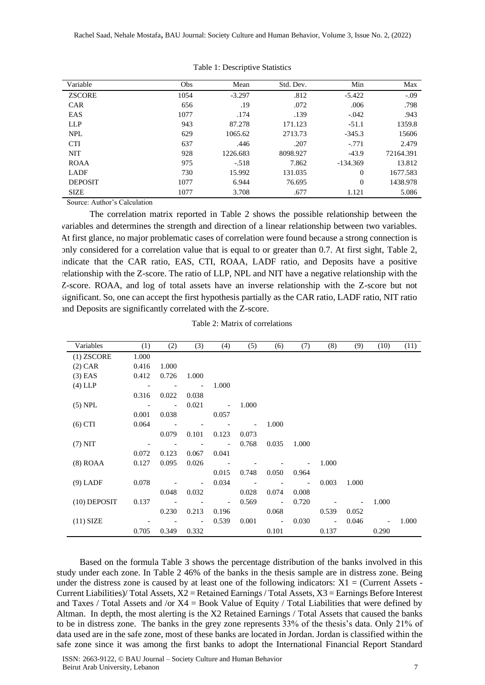| Variable       | Obs  | Mean     | Std. Dev. | Min        | Max       |
|----------------|------|----------|-----------|------------|-----------|
| <b>ZSCORE</b>  | 1054 | $-3.297$ | .812      | $-5.422$   | $-.09$    |
| <b>CAR</b>     | 656  | .19      | .072      | .006       | .798      |
| EAS            | 1077 | .174     | .139      | $-.042$    | .943      |
| <b>LLP</b>     | 943  | 87.278   | 171.123   | $-51.1$    | 1359.8    |
| NPL            | 629  | 1065.62  | 2713.73   | $-345.3$   | 15606     |
| <b>CTI</b>     | 637  | .446     | .207      | $-.771$    | 2.479     |
| <b>NIT</b>     | 928  | 1226.683 | 8098.927  | $-43.9$    | 72164.391 |
| <b>ROAA</b>    | 975  | $-.518$  | 7.862     | $-134.369$ | 13.812    |
| LADF           | 730  | 15.992   | 131.035   | $\Omega$   | 1677.583  |
| <b>DEPOSIT</b> | 1077 | 6.944    | 76.695    | $\theta$   | 1438.978  |
| <b>SIZE</b>    | 1077 | 3.708    | .677      | 1.121      | 5.086     |

Table 1: Descriptive Statistics

Source: Author's Calculation

 The correlation matrix reported in Table 2 shows the possible relationship between the variables and determines the strength and direction of a linear relationship between two variables. At first glance, no major problematic cases of correlation were found because a strong connection is only considered for a correlation value that is equal to or greater than 0.7. At first sight, Table 2, indicate that the CAR ratio, EAS, CTI, ROAA, LADF ratio, and Deposits have a positive relationship with the Z-score. The ratio of LLP, NPL and NIT have a negative relationship with the Z-score. ROAA, and log of total assets have an inverse relationship with the Z-score but not significant. So, one can accept the first hypothesis partially as the CAR ratio, LADF ratio, NIT ratio and Deposits are significantly correlated with the Z-score.

| Variables      | (1)   | (2)                      | (3)                      | (4)                      | (5)   | (6)                      | (7)                      | (8)                      | (9)   | (10)  | (11)  |
|----------------|-------|--------------------------|--------------------------|--------------------------|-------|--------------------------|--------------------------|--------------------------|-------|-------|-------|
| $(1)$ ZSCORE   | 1.000 |                          |                          |                          |       |                          |                          |                          |       |       |       |
| $(2)$ CAR      | 0.416 | 1.000                    |                          |                          |       |                          |                          |                          |       |       |       |
| $(3)$ EAS      | 0.412 | 0.726                    | 1.000                    |                          |       |                          |                          |                          |       |       |       |
| $(4)$ LLP      |       |                          |                          | 1.000                    |       |                          |                          |                          |       |       |       |
|                | 0.316 | 0.022                    | 0.038                    |                          |       |                          |                          |                          |       |       |       |
| $(5)$ NPL      |       | $\overline{\phantom{a}}$ | 0.021                    |                          | 1.000 |                          |                          |                          |       |       |       |
|                | 0.001 | 0.038                    |                          | 0.057                    |       |                          |                          |                          |       |       |       |
| $(6)$ CTI      | 0.064 |                          |                          |                          |       | 1.000                    |                          |                          |       |       |       |
|                |       | 0.079                    | 0.101                    | 0.123                    | 0.073 |                          |                          |                          |       |       |       |
| $(7)$ NIT      |       |                          |                          |                          | 0.768 | 0.035                    | 1.000                    |                          |       |       |       |
|                | 0.072 | 0.123                    | 0.067                    | 0.041                    |       |                          |                          |                          |       |       |       |
| $(8)$ ROAA     | 0.127 | 0.095                    | 0.026                    |                          |       |                          |                          | 1.000                    |       |       |       |
|                |       |                          |                          | 0.015                    | 0.748 | 0.050                    | 0.964                    |                          |       |       |       |
| $(9)$ LADF     | 0.078 |                          |                          | 0.034                    |       |                          | $\overline{\phantom{a}}$ | 0.003                    | 1.000 |       |       |
|                |       | 0.048                    | 0.032                    |                          | 0.028 | 0.074                    | 0.008                    |                          |       |       |       |
| $(10)$ DEPOSIT | 0.137 |                          |                          | $\overline{\phantom{a}}$ | 0.569 | $\overline{\phantom{a}}$ | 0.720                    |                          |       | 1.000 |       |
|                |       | 0.230                    | 0.213                    | 0.196                    |       | 0.068                    |                          | 0.539                    | 0.052 |       |       |
| $(11)$ SIZE    |       |                          | $\overline{\phantom{a}}$ | 0.539                    | 0.001 | $\overline{\phantom{a}}$ | 0.030                    | $\overline{\phantom{a}}$ | 0.046 |       | 1.000 |
|                | 0.705 | 0.349                    | 0.332                    |                          |       | 0.101                    |                          | 0.137                    |       | 0.290 |       |

Based on the formula Table 3 shows the percentage distribution of the banks involved in this study under each zone. In Table 2 46% of the banks in the thesis sample are in distress zone. Being under the distress zone is caused by at least one of the following indicators:  $X1 =$  (Current Assets -Current Liabilities)/ Total Assets,  $X2$  = Retained Earnings / Total Assets,  $X3$  = Earnings Before Interest and Taxes / Total Assets and /or  $X4 = Book$  Value of Equity / Total Liabilities that were defined by Altman. In depth, the most alerting is the X2 Retained Earnings / Total Assets that caused the banks to be in distress zone. The banks in the grey zone represents 33% of the thesis's data. Only 21% of data used are in the safe zone, most of these banks are located in Jordan. Jordan is classified within the safe zone since it was among the first banks to adopt the International Financial Report Standard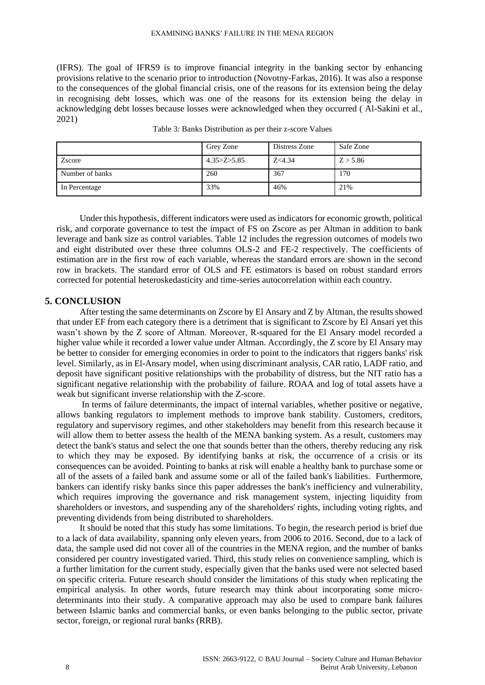(IFRS). The goal of IFRS9 is to improve financial integrity in the banking sector by enhancing provisions relative to the scenario prior to introduction (Novotny-Farkas, 2016). It was also a response to the consequences of the global financial crisis, one of the reasons for its extension being the delay in recognising debt losses, which was one of the reasons for its extension being the delay in acknowledging debt losses because losses were acknowledged when they occurred ( Al-Sakini et al., 2021)

|                 | Grey Zone       | Distress Zone | Safe Zone |
|-----------------|-----------------|---------------|-----------|
| Zscore          | 4.35 > Z > 5.85 | Z < 4.34      | Z > 5.86  |
| Number of banks | 260             | 367           | 170       |
| In Percentage   | 33%             | 46%           | 21%       |

Table 3: Banks Distribution as per their z-score Values

Under this hypothesis, different indicators were used as indicators for economic growth, political risk, and corporate governance to test the impact of FS on Zscore as per Altman in addition to bank leverage and bank size as control variables. Table 12 includes the regression outcomes of models two and eight distributed over these three columns OLS-2 and FE-2 respectively. The coefficients of estimation are in the first row of each variable, whereas the standard errors are shown in the second row in brackets. The standard error of OLS and FE estimators is based on robust standard errors corrected for potential heteroskedasticity and time-series autocorrelation within each country.

## **5. CONCLUSION**

After testing the same determinants on Zscore by El Ansary and Z by Altman, the results showed that under EF from each category there is a detriment that is significant to Zscore by El Ansari yet this wasn't shown by the Z score of Altman. Moreover, R-squared for the El Ansary model recorded a higher value while it recorded a lower value under Altman. Accordingly, the Z score by El Ansary may be better to consider for emerging economies in order to point to the indicators that riggers banks' risk level. Similarly, as in El-Ansary model, when using discriminant analysis, CAR ratio, LADF ratio, and deposit have significant positive relationships with the probability of distress, but the NIT ratio has a significant negative relationship with the probability of failure. ROAA and log of total assets have a weak but significant inverse relationship with the Z-score.

In terms of failure determinants, the impact of internal variables, whether positive or negative, allows banking regulators to implement methods to improve bank stability. Customers, creditors, regulatory and supervisory regimes, and other stakeholders may benefit from this research because it will allow them to better assess the health of the MENA banking system. As a result, customers may detect the bank's status and select the one that sounds better than the others, thereby reducing any risk to which they may be exposed. By identifying banks at risk, the occurrence of a crisis or its consequences can be avoided. Pointing to banks at risk will enable a healthy bank to purchase some or all of the assets of a failed bank and assume some or all of the failed bank's liabilities. Furthermore, bankers can identify risky banks since this paper addresses the bank's inefficiency and vulnerability, which requires improving the governance and risk management system, injecting liquidity from shareholders or investors, and suspending any of the shareholders' rights, including voting rights, and preventing dividends from being distributed to shareholders.

It should be noted that this study has some limitations. To begin, the research period is brief due to a lack of data availability, spanning only eleven years, from 2006 to 2016. Second, due to a lack of data, the sample used did not cover all of the countries in the MENA region, and the number of banks considered per country investigated varied. Third, this study relies on convenience sampling, which is a further limitation for the current study, especially given that the banks used were not selected based on specific criteria. Future research should consider the limitations of this study when replicating the empirical analysis. In other words, future research may think about incorporating some microdeterminants into their study. A comparative approach may also be used to compare bank failures between Islamic banks and commercial banks, or even banks belonging to the public sector, private sector, foreign, or regional rural banks (RRB).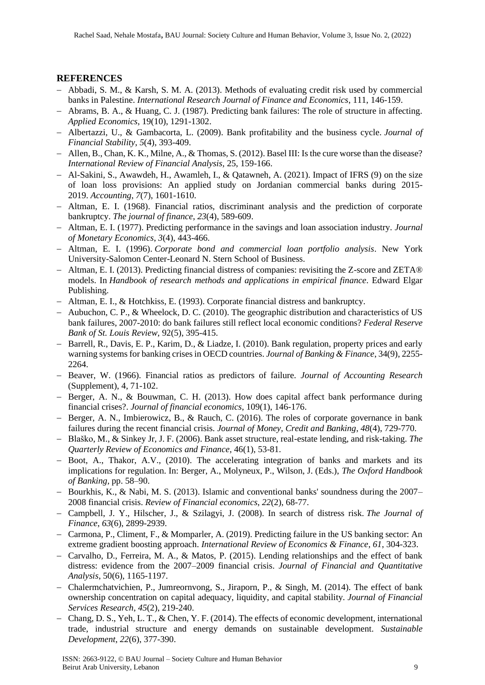## **REFERENCES**

- − Abbadi, S. M., & Karsh, S. M. A. (2013). Methods of evaluating credit risk used by commercial banks in Palestine. *International Research Journal of Finance and Economics*, 111, 146-159.
- − Abrams, B. A., & Huang, C. J. (1987). Predicting bank failures: The role of structure in affecting. *Applied Economics*, 19(10), 1291-1302.
- − Albertazzi, U., & Gambacorta, L. (2009). Bank profitability and the business cycle. *Journal of Financial Stability*, *5*(4), 393-409.
- − Allen, B., Chan, K. K., Milne, A., & Thomas, S. (2012). Basel III: Is the cure worse than the disease? *International Review of Financial Analysis,* 25, 159-166.
- − Al-Sakini, S., Awawdeh, H., Awamleh, I., & Qatawneh, A. (2021). Impact of IFRS (9) on the size of loan loss provisions: An applied study on Jordanian commercial banks during 2015- 2019. *Accounting*, *7*(7), 1601-1610.
- − Altman, E. I. (1968). Financial ratios, discriminant analysis and the prediction of corporate bankruptcy. *The journal of finance*, *23*(4), 589-609.
- − Altman, E. I. (1977). Predicting performance in the savings and loan association industry. *Journal of Monetary Economics*, *3*(4), 443-466.
- − Altman, E. I. (1996). *Corporate bond and commercial loan portfolio analysis*. New York University-Salomon Center-Leonard N. Stern School of Business.
- − Altman, E. I. (2013). Predicting financial distress of companies: revisiting the Z-score and ZETA® models. In *Handbook of research methods and applications in empirical finance*. Edward Elgar Publishing.
- − Altman, E. I., & Hotchkiss, E. (1993). Corporate financial distress and bankruptcy.
- − Aubuchon, C. P., & Wheelock, D. C. (2010). The geographic distribution and characteristics of US bank failures, 2007-2010: do bank failures still reflect local economic conditions? *Federal Reserve Bank of St. Louis Review,* 92(5), 395-415.
- − Barrell, R., Davis, E. P., Karim, D., & Liadze, I. (2010). Bank regulation, property prices and early warning systems for banking crises in OECD countries. *Journal of Banking & Finance*, 34(9), 2255- 2264.
- − Beaver, W. (1966). Financial ratios as predictors of failure. *Journal of Accounting Research*  (Supplement), 4, 71-102.
- − Berger, A. N., & Bouwman, C. H. (2013). How does capital affect bank performance during financial crises?. *Journal of financial economics*, 109(1), 146-176.
- − Berger, A. N., Imbierowicz, B., & Rauch, C. (2016). The roles of corporate governance in bank failures during the recent financial crisis. *Journal of Money, Credit and Banking*, *48*(4), 729-770.
- − Blaško, M., & Sinkey Jr, J. F. (2006). Bank asset structure, real-estate lending, and risk-taking. *The Quarterly Review of Economics and Finance,* 46(1), 53-81.
- − Boot, A., Thakor, A.V., (2010). The accelerating integration of banks and markets and its implications for regulation. In: Berger, A., Molyneux, P., Wilson, J. (Eds.), *The Oxford Handbook of Banking,* pp. 58–90.
- − Bourkhis, K., & Nabi, M. S. (2013). Islamic and conventional banks' soundness during the 2007– 2008 financial crisis. *Review of Financial economics*, *22*(2), 68-77.
- − Campbell, J. Y., Hilscher, J., & Szilagyi, J. (2008). In search of distress risk. *The Journal of Finance*, *63*(6), 2899-2939.
- − Carmona, P., Climent, F., & Momparler, A. (2019). Predicting failure in the US banking sector: An extreme gradient boosting approach. *International Review of Economics & Finance*, *61*, 304-323.
- − Carvalho, D., Ferreira, M. A., & Matos, P. (2015). Lending relationships and the effect of bank distress: evidence from the 2007–2009 financial crisis. *Journal of Financial and Quantitative Analysis*, 50(6), 1165-1197.
- − Chalermchatvichien, P., Jumreornvong, S., Jiraporn, P., & Singh, M. (2014). The effect of bank ownership concentration on capital adequacy, liquidity, and capital stability. *Journal of Financial Services Research*, *45*(2), 219-240.
- − Chang, D. S., Yeh, L. T., & Chen, Y. F. (2014). The effects of economic development, international trade, industrial structure and energy demands on sustainable development. *Sustainable Development*, *22*(6), 377-390.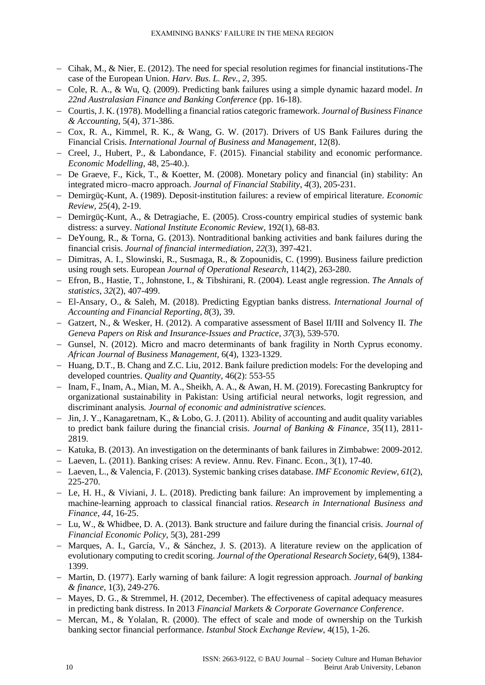- − Cihak, M., & Nier, E. (2012). The need for special resolution regimes for financial institutions-The case of the European Union. *Harv. Bus. L. Rev.*, *2*, 395.
- − Cole, R. A., & Wu, Q. (2009). Predicting bank failures using a simple dynamic hazard model. *In 22nd Australasian Finance and Banking Conference* (pp. 16-18).
- − Courtis, J. K. (1978). Modelling a financial ratios categoric framework. *Journal of Business Finance & Accounting,* 5(4), 371-386.
- − Cox, R. A., Kimmel, R. K., & Wang, G. W. (2017). Drivers of US Bank Failures during the Financial Crisis. *International Journal of Business and Management*, 12(8).
- − Creel, J., Hubert, P., & Labondance, F. (2015). Financial stability and economic performance. *Economic Modelling*, 48, 25-40.).
- − De Graeve, F., Kick, T., & Koetter, M. (2008). Monetary policy and financial (in) stability: An integrated micro–macro approach. *Journal of Financial Stability*, *4*(3), 205-231.
- − Demirgüç-Kunt, A. (1989). Deposit-institution failures: a review of empirical literature. *Economic Review,* 25(4), 2-19.
- − Demirgüç-Kunt, A., & Detragiache, E. (2005). Cross-country empirical studies of systemic bank distress: a survey. *National Institute Economic Review*, 192(1), 68-83.
- − DeYoung, R., & Torna, G. (2013). Nontraditional banking activities and bank failures during the financial crisis. *Journal of financial intermediation*, *22*(3), 397-421.
- − Dimitras, A. I., Slowinski, R., Susmaga, R., & Zopounidis, C. (1999). Business failure prediction using rough sets. European *Journal of Operational Research*, 114(2), 263-280.
- − Efron, B., Hastie, T., Johnstone, I., & Tibshirani, R. (2004). Least angle regression. *The Annals of statistics*, *32*(2), 407-499.
- − El-Ansary, O., & Saleh, M. (2018). Predicting Egyptian banks distress. *International Journal of Accounting and Financial Reporting*, *8*(3), 39.
- − Gatzert, N., & Wesker, H. (2012). A comparative assessment of Basel II/III and Solvency II. *The Geneva Papers on Risk and Insurance-Issues and Practice*, *37*(3), 539-570.
- − Gunsel, N. (2012). Micro and macro determinants of bank fragility in North Cyprus economy. *African Journal of Business Management,* 6(4), 1323-1329.
- − Huang, D.T., B. Chang and Z.C. Liu, 2012. Bank failure prediction models: For the developing and developed countries. *Quality and Quantity*, 46(2): 553-55
- − Inam, F., Inam, A., Mian, M. A., Sheikh, A. A., & Awan, H. M. (2019). Forecasting Bankruptcy for organizational sustainability in Pakistan: Using artificial neural networks, logit regression, and discriminant analysis*. Journal of economic and administrative sciences.*
- − Jin, J. Y., Kanagaretnam, K., & Lobo, G. J. (2011). Ability of accounting and audit quality variables to predict bank failure during the financial crisis. *Journal of Banking & Finance*, 35(11), 2811- 2819.
- − Katuka, B. (2013). An investigation on the determinants of bank failures in Zimbabwe: 2009-2012.
- − Laeven, L. (2011). Banking crises: A review. Annu. Rev. Financ. Econ., 3(1), 17-40.
- − Laeven, L., & Valencia, F. (2013). Systemic banking crises database. *IMF Economic Review*, *61*(2), 225-270.
- − Le, H. H., & Viviani, J. L. (2018). Predicting bank failure: An improvement by implementing a machine-learning approach to classical financial ratios. *Research in International Business and Finance*, *44*, 16-25.
- − Lu, W., & Whidbee, D. A. (2013). Bank structure and failure during the financial crisis. *Journal of Financial Economic Policy,* 5(3), 281-299
- − Marques, A. I., García, V., & Sánchez, J. S. (2013). A literature review on the application of evolutionary computing to credit scoring. *Journal of the Operational Research Society*, 64(9), 1384- 1399.
- − Martin, D. (1977). Early warning of bank failure: A logit regression approach. *Journal of banking & finance,* 1(3), 249-276.
- − Mayes, D. G., & Stremmel, H. (2012, December). The effectiveness of capital adequacy measures in predicting bank distress. In 2013 *Financial Markets & Corporate Governance Conference*.
- − Mercan, M., & Yolalan, R. (2000). The effect of scale and mode of ownership on the Turkish banking sector financial performance. *Istanbul Stock Exchange Review*, 4(15), 1-26.